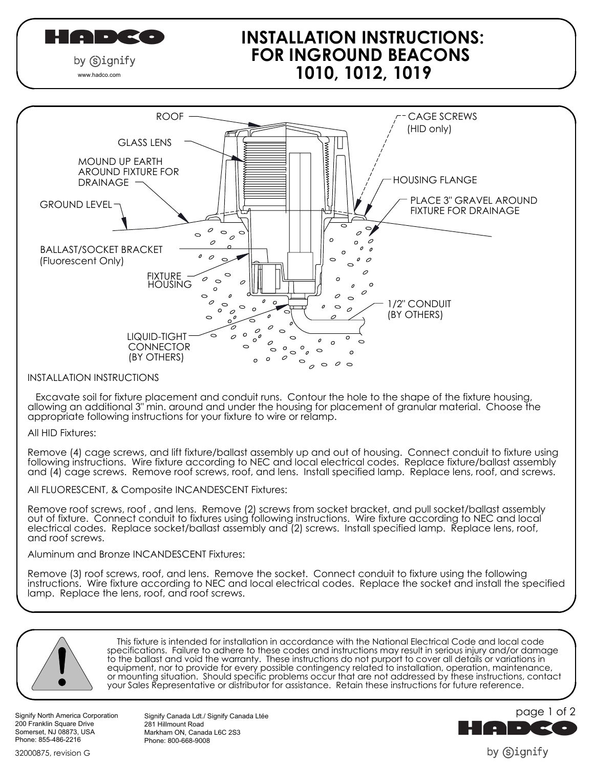HADCO

by (s)ignify www.hadco.com

# **INSTALLATION INSTRUCTIONS: FOR INGROUND BEACONS 1010, 1012, 1019**



#### INSTALLATION INSTRUCTIONS

 Excavate soil for fixture placement and conduit runs. Contour the hole to the shape of the fixture housing, allowing an additional 3" min. around and under the housing for placement of granular material. Choose the appropriate following instructions for your fixture to wire or relamp.

All HID Fixtures:

Remove (4) cage screws, and lift fixture/ballast assembly up and out of housing. Connect conduit to fixture using following instructions. Wire fixture according to NEC and local electrical codes. Replace fixture/ballast assembly and (4) cage screws. Remove roof screws, roof, and lens. Install specified lamp. Replace lens, roof, and screws.

All FLUORESCENT, & Composite INCANDESCENT Fixtures:

Remove roof screws, roof , and lens. Remove (2) screws from socket bracket, and pull socket/ballast assembly out of fixture. Connect conduit to fixtures using following instructions. Wire fixture according to NEC and local electrical codes. Replace socket/ballast assembly and (2) screws. Install specified lamp. Replace lens, roof, and roof screws.

Aluminum and Bronze INCANDESCENT Fixtures:

Remove (3) roof screws, roof, and lens. Remove the socket. Connect conduit to fixture using the following instructions. Wire fixture according to NEC and local electrical codes. Replace the socket and install the specified lamp. Replace the lens, roof, and roof screws.



 This fixture is intended for installation in accordance with the National Electrical Code and local code specifications. Failure to adhere to these codes and instructions may result in serious injury and/or damage to the ballast and void the warranty. These instructions do not purport to cover all details or variations in equipment, nor to provide for every possible contingency related to installation, operation, maintenance, or mounting situation. Should specific problems occur that are not addressed by these instructions, contact your Sales Representative or distributor for assistance. Retain these instructions for future reference.

Signify North America Corporation 200 Franklin Square Drive Somerset, NJ 08873, USA Phone: 855-486-2216

Signify Canada Ldt./ Signify Canada Ltée 281 Hillmount Road Markham ON, Canada L6C 2S3 Phone: 800-668-9008



by Signify